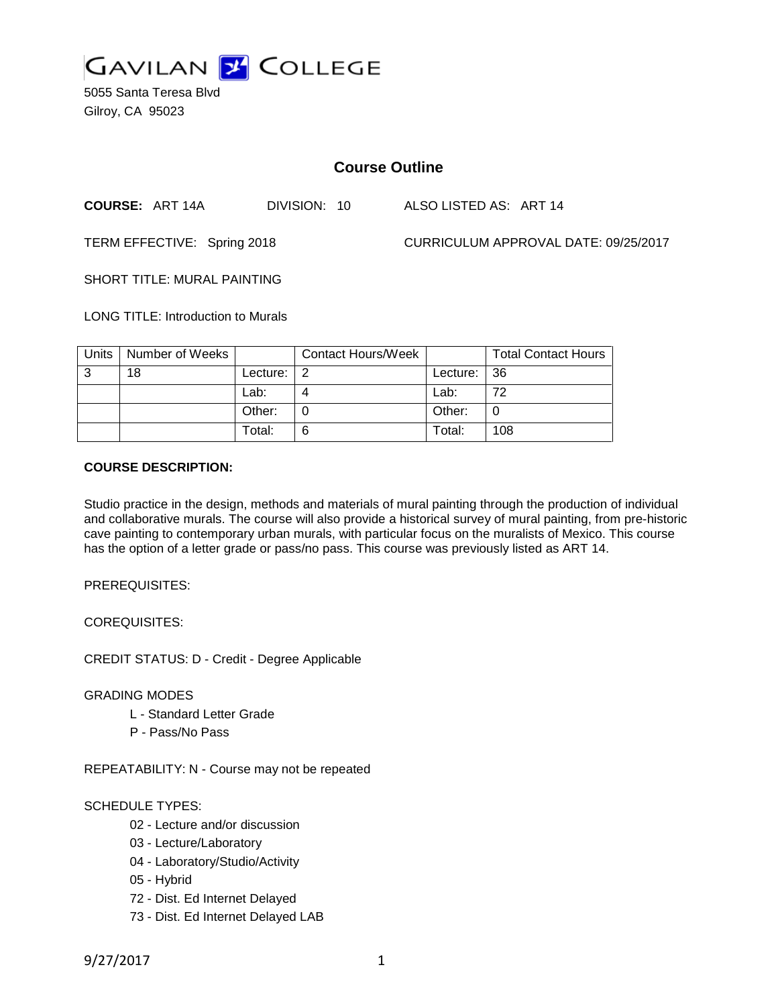

5055 Santa Teresa Blvd Gilroy, CA 95023

# **Course Outline**

**COURSE:** ART 14A DIVISION: 10 ALSO LISTED AS: ART 14

TERM EFFECTIVE: Spring 2018 CURRICULUM APPROVAL DATE: 09/25/2017

SHORT TITLE: MURAL PAINTING

LONG TITLE: Introduction to Murals

| Units | Number of Weeks |          | <b>Contact Hours/Week</b> |             | <b>Total Contact Hours</b> |
|-------|-----------------|----------|---------------------------|-------------|----------------------------|
| ູ     | 18              | Lecture: | - 2                       | Lecture: 36 |                            |
|       |                 | Lab:     |                           | Lab:        | 72                         |
|       |                 | Other:   |                           | Other:      |                            |
|       |                 | Total:   | 6                         | Total:      | 108                        |

#### **COURSE DESCRIPTION:**

Studio practice in the design, methods and materials of mural painting through the production of individual and collaborative murals. The course will also provide a historical survey of mural painting, from pre-historic cave painting to contemporary urban murals, with particular focus on the muralists of Mexico. This course has the option of a letter grade or pass/no pass. This course was previously listed as ART 14.

PREREQUISITES:

COREQUISITES:

CREDIT STATUS: D - Credit - Degree Applicable

GRADING MODES

- L Standard Letter Grade
- P Pass/No Pass

REPEATABILITY: N - Course may not be repeated

### SCHEDULE TYPES:

- 02 Lecture and/or discussion
- 03 Lecture/Laboratory
- 04 Laboratory/Studio/Activity
- 05 Hybrid
- 72 Dist. Ed Internet Delayed
- 73 Dist. Ed Internet Delayed LAB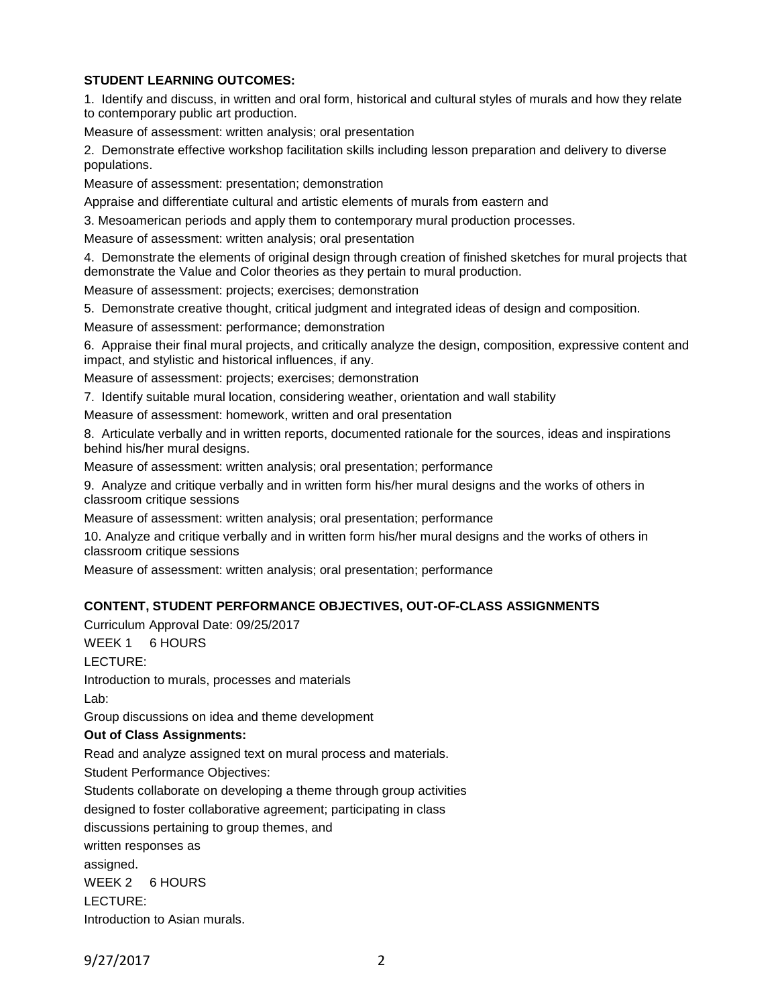## **STUDENT LEARNING OUTCOMES:**

1. Identify and discuss, in written and oral form, historical and cultural styles of murals and how they relate to contemporary public art production.

Measure of assessment: written analysis; oral presentation

2. Demonstrate effective workshop facilitation skills including lesson preparation and delivery to diverse populations.

Measure of assessment: presentation; demonstration

Appraise and differentiate cultural and artistic elements of murals from eastern and

3. Mesoamerican periods and apply them to contemporary mural production processes.

Measure of assessment: written analysis; oral presentation

4. Demonstrate the elements of original design through creation of finished sketches for mural projects that demonstrate the Value and Color theories as they pertain to mural production.

Measure of assessment: projects; exercises; demonstration

5. Demonstrate creative thought, critical judgment and integrated ideas of design and composition. Measure of assessment: performance; demonstration

6. Appraise their final mural projects, and critically analyze the design, composition, expressive content and impact, and stylistic and historical influences, if any.

Measure of assessment: projects; exercises; demonstration

7. Identify suitable mural location, considering weather, orientation and wall stability

Measure of assessment: homework, written and oral presentation

8. Articulate verbally and in written reports, documented rationale for the sources, ideas and inspirations behind his/her mural designs.

Measure of assessment: written analysis; oral presentation; performance

9. Analyze and critique verbally and in written form his/her mural designs and the works of others in classroom critique sessions

Measure of assessment: written analysis; oral presentation; performance

10. Analyze and critique verbally and in written form his/her mural designs and the works of others in classroom critique sessions

Measure of assessment: written analysis; oral presentation; performance

### **CONTENT, STUDENT PERFORMANCE OBJECTIVES, OUT-OF-CLASS ASSIGNMENTS**

Curriculum Approval Date: 09/25/2017

WEEK 1 6 HOURS

LECTURE:

Introduction to murals, processes and materials Lab:

Group discussions on idea and theme development

### **Out of Class Assignments:**

Read and analyze assigned text on mural process and materials.

Student Performance Objectives:

Students collaborate on developing a theme through group activities

designed to foster collaborative agreement; participating in class

discussions pertaining to group themes, and

written responses as assigned.

WEEK 2 6 HOURS

LECTURE:

Introduction to Asian murals.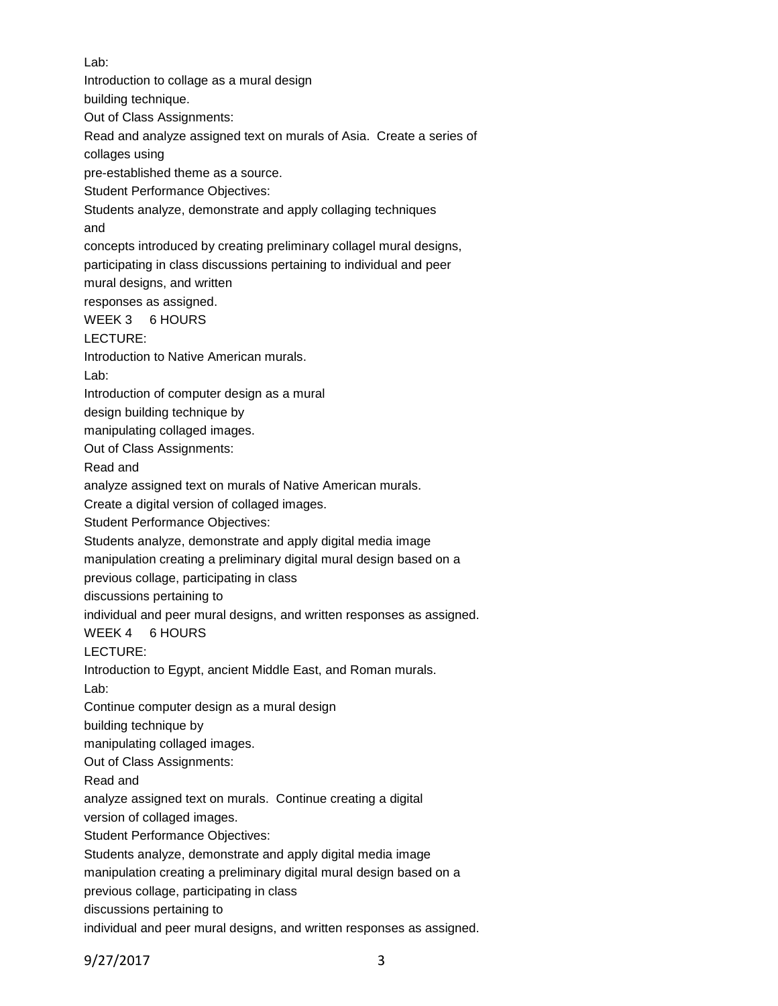Lab: Introduction to collage as a mural design building technique. Out of Class Assignments: Read and analyze assigned text on murals of Asia. Create a series of collages using pre-established theme as a source. Student Performance Objectives: Students analyze, demonstrate and apply collaging techniques and concepts introduced by creating preliminary collagel mural designs, participating in class discussions pertaining to individual and peer mural designs, and written responses as assigned. WEEK 3 6 HOURS LECTURE: Introduction to Native American murals. Lab: Introduction of computer design as a mural design building technique by manipulating collaged images. Out of Class Assignments: Read and analyze assigned text on murals of Native American murals. Create a digital version of collaged images. Student Performance Objectives: Students analyze, demonstrate and apply digital media image manipulation creating a preliminary digital mural design based on a previous collage, participating in class discussions pertaining to individual and peer mural designs, and written responses as assigned. WEEK 4 6 HOURS LECTURE: Introduction to Egypt, ancient Middle East, and Roman murals. Lab: Continue computer design as a mural design building technique by manipulating collaged images. Out of Class Assignments: Read and analyze assigned text on murals. Continue creating a digital version of collaged images. Student Performance Objectives: Students analyze, demonstrate and apply digital media image manipulation creating a preliminary digital mural design based on a previous collage, participating in class discussions pertaining to

individual and peer mural designs, and written responses as assigned.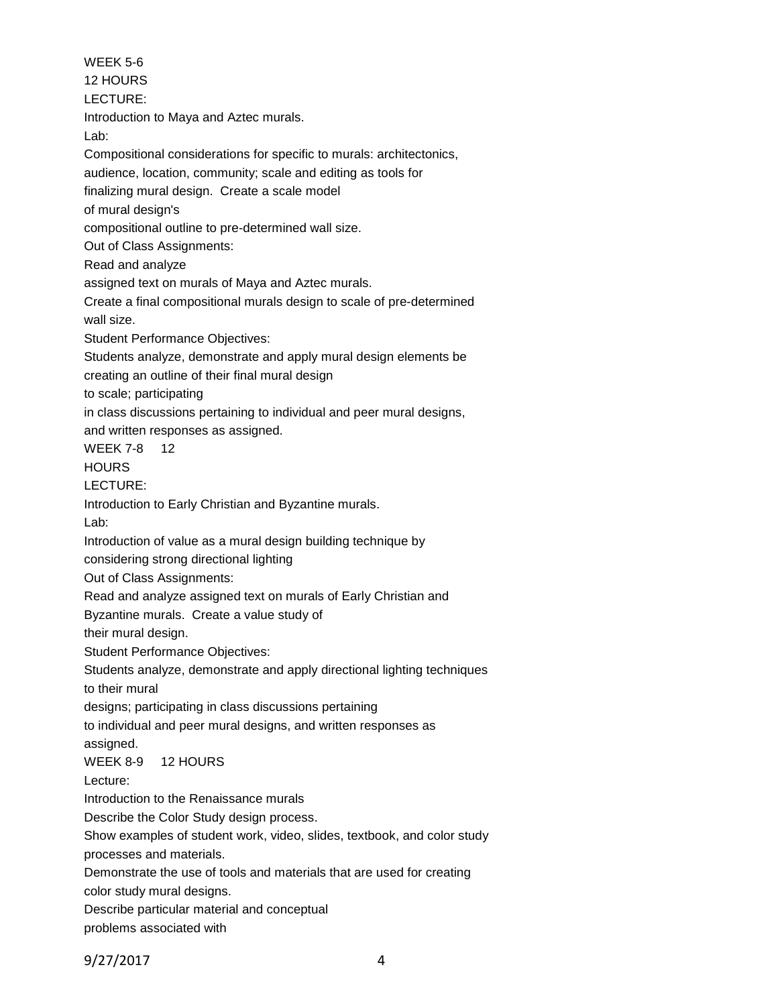WEEK 5-6 12 HOURS LECTURE: Introduction to Maya and Aztec murals. Lab: Compositional considerations for specific to murals: architectonics, audience, location, community; scale and editing as tools for finalizing mural design. Create a scale model of mural design's compositional outline to pre-determined wall size. Out of Class Assignments: Read and analyze assigned text on murals of Maya and Aztec murals. Create a final compositional murals design to scale of pre-determined wall size. Student Performance Objectives: Students analyze, demonstrate and apply mural design elements be creating an outline of their final mural design to scale; participating in class discussions pertaining to individual and peer mural designs, and written responses as assigned. WEEK 7-8 12 **HOURS** LECTURE: Introduction to Early Christian and Byzantine murals. Lab: Introduction of value as a mural design building technique by considering strong directional lighting Out of Class Assignments: Read and analyze assigned text on murals of Early Christian and Byzantine murals. Create a value study of their mural design. Student Performance Objectives: Students analyze, demonstrate and apply directional lighting techniques to their mural designs; participating in class discussions pertaining to individual and peer mural designs, and written responses as assigned. WEEK 8-9 12 HOURS Lecture: Introduction to the Renaissance murals Describe the Color Study design process. Show examples of student work, video, slides, textbook, and color study processes and materials. Demonstrate the use of tools and materials that are used for creating color study mural designs. Describe particular material and conceptual problems associated with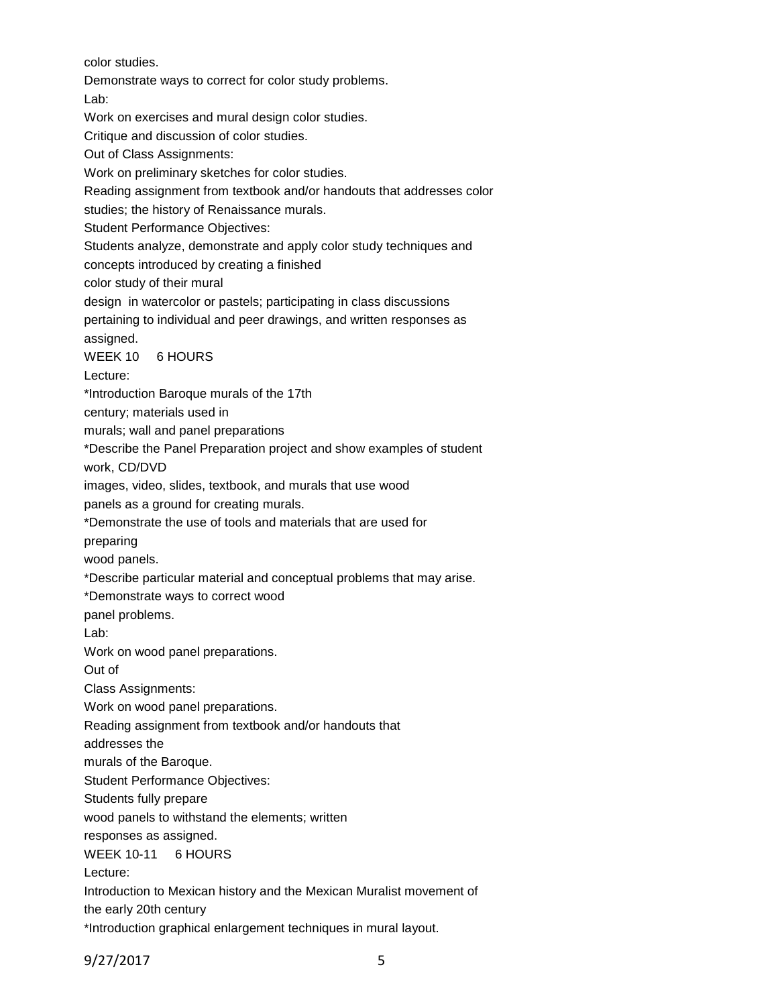color studies.

Demonstrate ways to correct for color study problems.

Lab:

Work on exercises and mural design color studies.

Critique and discussion of color studies.

Out of Class Assignments:

Work on preliminary sketches for color studies.

Reading assignment from textbook and/or handouts that addresses color

studies; the history of Renaissance murals.

Student Performance Objectives:

Students analyze, demonstrate and apply color study techniques and

concepts introduced by creating a finished

color study of their mural

design in watercolor or pastels; participating in class discussions

pertaining to individual and peer drawings, and written responses as assigned.

WEEK 10 6 HOURS

Lecture:

\*Introduction Baroque murals of the 17th

century; materials used in

murals; wall and panel preparations

\*Describe the Panel Preparation project and show examples of student

work, CD/DVD

images, video, slides, textbook, and murals that use wood

panels as a ground for creating murals.

\*Demonstrate the use of tools and materials that are used for

preparing

wood panels.

\*Describe particular material and conceptual problems that may arise.

\*Demonstrate ways to correct wood

panel problems.

Lab:

Work on wood panel preparations.

Out of

Class Assignments:

Work on wood panel preparations.

Reading assignment from textbook and/or handouts that

addresses the

murals of the Baroque.

Student Performance Objectives:

Students fully prepare

wood panels to withstand the elements; written

responses as assigned.

WEEK 10-11 6 HOURS

Lecture:

Introduction to Mexican history and the Mexican Muralist movement of

the early 20th century

\*Introduction graphical enlargement techniques in mural layout.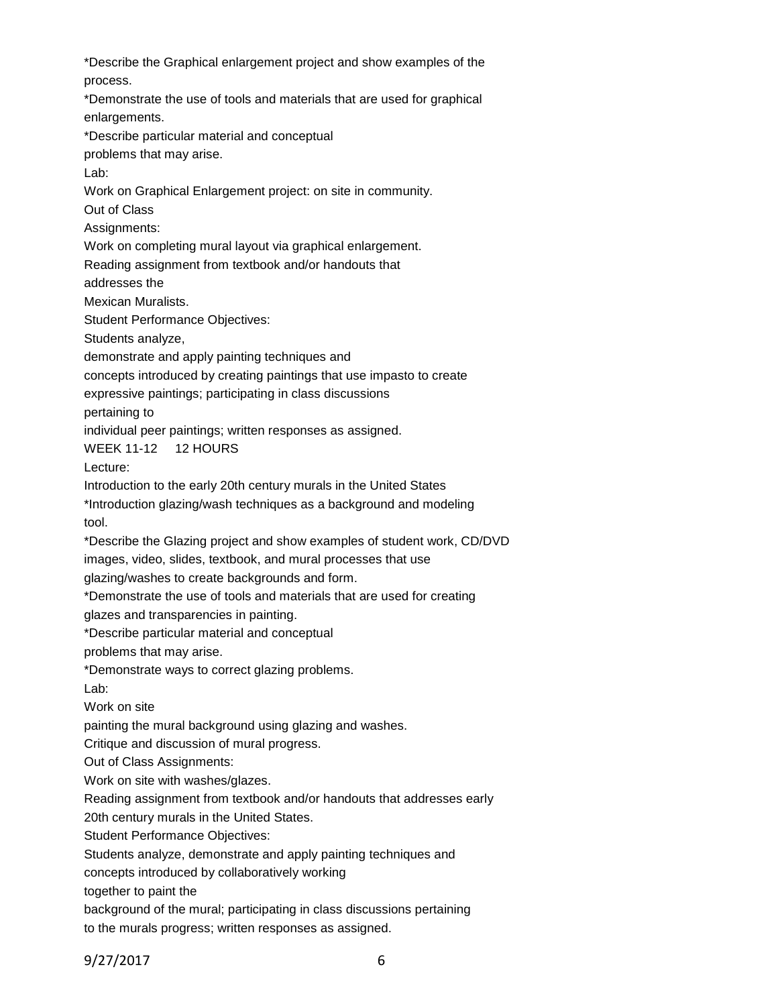\*Describe the Graphical enlargement project and show examples of the process. \*Demonstrate the use of tools and materials that are used for graphical enlargements. \*Describe particular material and conceptual problems that may arise. Lab: Work on Graphical Enlargement project: on site in community. Out of Class Assignments: Work on completing mural layout via graphical enlargement. Reading assignment from textbook and/or handouts that addresses the Mexican Muralists. Student Performance Objectives: Students analyze, demonstrate and apply painting techniques and concepts introduced by creating paintings that use impasto to create expressive paintings; participating in class discussions pertaining to individual peer paintings; written responses as assigned. WEEK 11-12 12 HOURS Lecture: Introduction to the early 20th century murals in the United States \*Introduction glazing/wash techniques as a background and modeling tool. \*Describe the Glazing project and show examples of student work, CD/DVD images, video, slides, textbook, and mural processes that use glazing/washes to create backgrounds and form. \*Demonstrate the use of tools and materials that are used for creating glazes and transparencies in painting. \*Describe particular material and conceptual problems that may arise. \*Demonstrate ways to correct glazing problems. Lab: Work on site painting the mural background using glazing and washes. Critique and discussion of mural progress. Out of Class Assignments: Work on site with washes/glazes. Reading assignment from textbook and/or handouts that addresses early 20th century murals in the United States. Student Performance Objectives: Students analyze, demonstrate and apply painting techniques and concepts introduced by collaboratively working together to paint the background of the mural; participating in class discussions pertaining to the murals progress; written responses as assigned.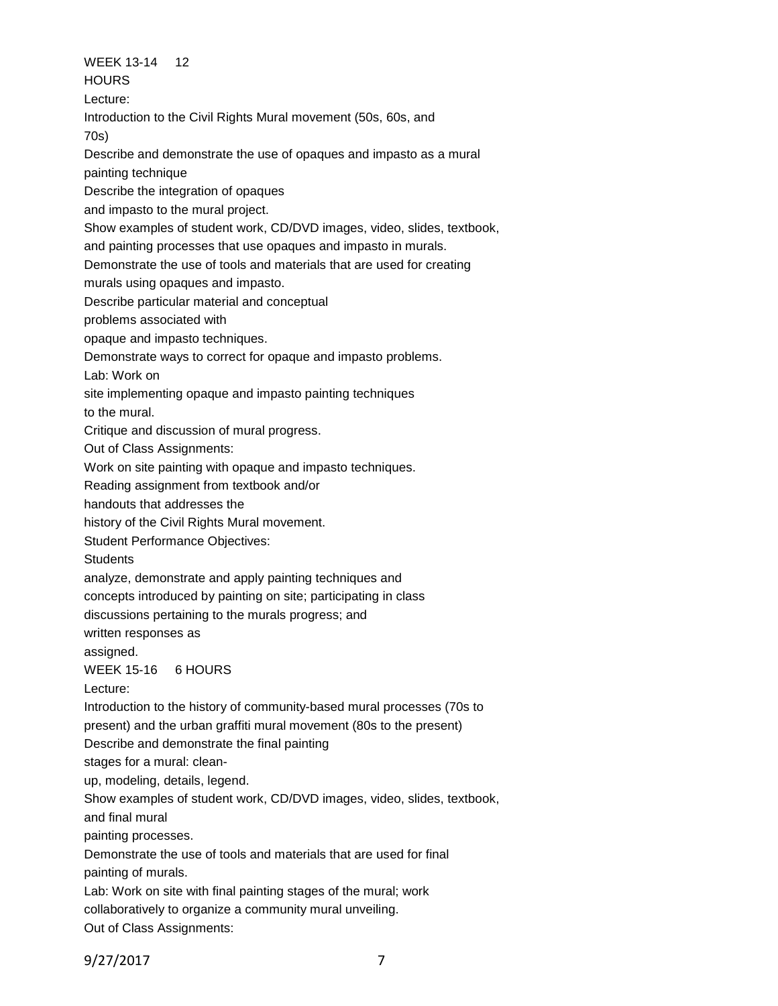WEEK 13-14 12 **HOURS** Lecture: Introduction to the Civil Rights Mural movement (50s, 60s, and 70s) Describe and demonstrate the use of opaques and impasto as a mural painting technique Describe the integration of opaques and impasto to the mural project. Show examples of student work, CD/DVD images, video, slides, textbook, and painting processes that use opaques and impasto in murals. Demonstrate the use of tools and materials that are used for creating murals using opaques and impasto. Describe particular material and conceptual problems associated with opaque and impasto techniques. Demonstrate ways to correct for opaque and impasto problems. Lab: Work on site implementing opaque and impasto painting techniques to the mural. Critique and discussion of mural progress. Out of Class Assignments: Work on site painting with opaque and impasto techniques. Reading assignment from textbook and/or handouts that addresses the history of the Civil Rights Mural movement. Student Performance Objectives: **Students** analyze, demonstrate and apply painting techniques and concepts introduced by painting on site; participating in class discussions pertaining to the murals progress; and written responses as assigned. WEEK 15-16 6 HOURS Lecture: Introduction to the history of community-based mural processes (70s to present) and the urban graffiti mural movement (80s to the present) Describe and demonstrate the final painting stages for a mural: cleanup, modeling, details, legend. Show examples of student work, CD/DVD images, video, slides, textbook, and final mural painting processes. Demonstrate the use of tools and materials that are used for final painting of murals. Lab: Work on site with final painting stages of the mural; work collaboratively to organize a community mural unveiling. Out of Class Assignments: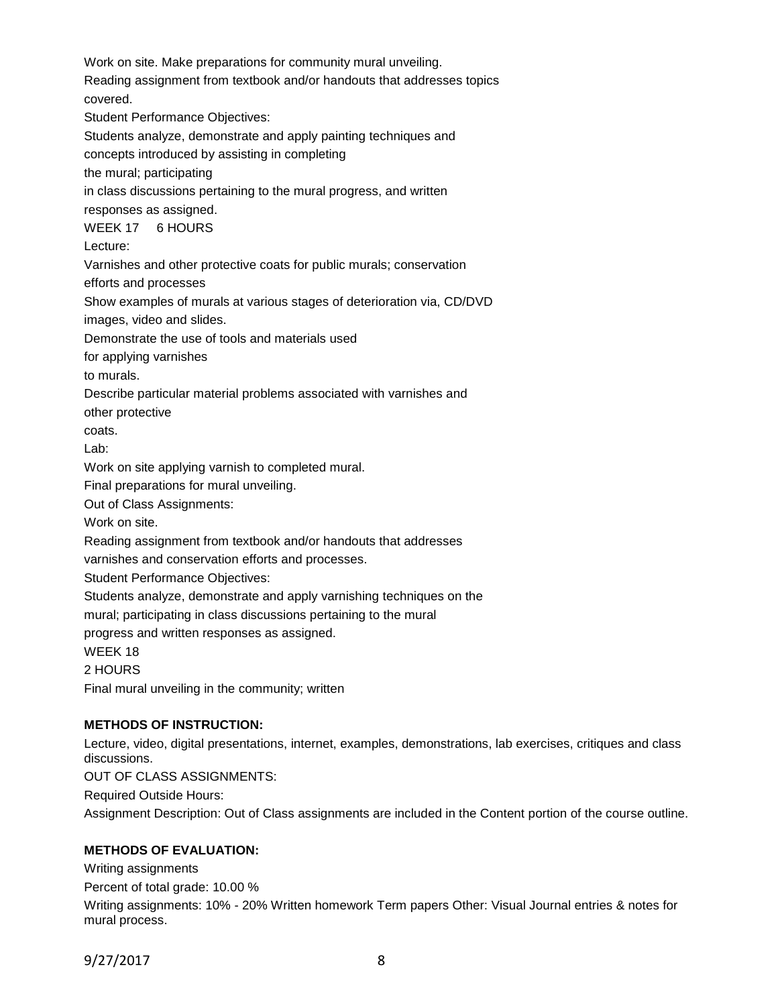Work on site. Make preparations for community mural unveiling. Reading assignment from textbook and/or handouts that addresses topics covered. Student Performance Objectives: Students analyze, demonstrate and apply painting techniques and concepts introduced by assisting in completing the mural; participating in class discussions pertaining to the mural progress, and written responses as assigned. WEEK 17 6 HOURS Lecture: Varnishes and other protective coats for public murals; conservation efforts and processes Show examples of murals at various stages of deterioration via, CD/DVD images, video and slides. Demonstrate the use of tools and materials used for applying varnishes to murals. Describe particular material problems associated with varnishes and other protective coats. Lab: Work on site applying varnish to completed mural. Final preparations for mural unveiling. Out of Class Assignments: Work on site. Reading assignment from textbook and/or handouts that addresses varnishes and conservation efforts and processes. Student Performance Objectives: Students analyze, demonstrate and apply varnishing techniques on the mural; participating in class discussions pertaining to the mural progress and written responses as assigned. WEEK 18 2 HOURS Final mural unveiling in the community; written

### **METHODS OF INSTRUCTION:**

Lecture, video, digital presentations, internet, examples, demonstrations, lab exercises, critiques and class discussions.

OUT OF CLASS ASSIGNMENTS:

Required Outside Hours:

Assignment Description: Out of Class assignments are included in the Content portion of the course outline.

### **METHODS OF EVALUATION:**

Writing assignments Percent of total grade: 10.00 % Writing assignments: 10% - 20% Written homework Term papers Other: Visual Journal entries & notes for mural process.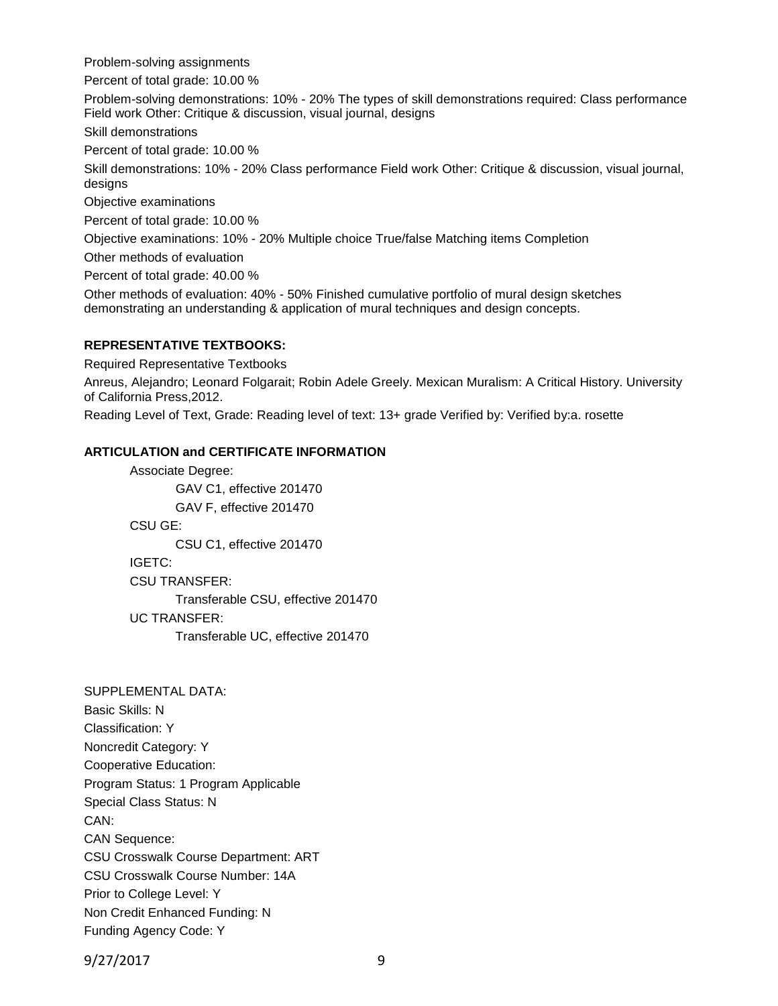Problem-solving assignments

Percent of total grade: 10.00 %

Problem-solving demonstrations: 10% - 20% The types of skill demonstrations required: Class performance Field work Other: Critique & discussion, visual journal, designs

Skill demonstrations

Percent of total grade: 10.00 %

Skill demonstrations: 10% - 20% Class performance Field work Other: Critique & discussion, visual journal, designs

Objective examinations

Percent of total grade: 10.00 %

Objective examinations: 10% - 20% Multiple choice True/false Matching items Completion

Other methods of evaluation

Percent of total grade: 40.00 %

Other methods of evaluation: 40% - 50% Finished cumulative portfolio of mural design sketches demonstrating an understanding & application of mural techniques and design concepts.

### **REPRESENTATIVE TEXTBOOKS:**

Required Representative Textbooks

Anreus, Alejandro; Leonard Folgarait; Robin Adele Greely. Mexican Muralism: A Critical History. University of California Press,2012.

Reading Level of Text, Grade: Reading level of text: 13+ grade Verified by: Verified by:a. rosette

### **ARTICULATION and CERTIFICATE INFORMATION**

Associate Degree: GAV C1, effective 201470 GAV F, effective 201470 CSU GE: CSU C1, effective 201470 IGETC: CSU TRANSFER: Transferable CSU, effective 201470 UC TRANSFER: Transferable UC, effective 201470

SUPPLEMENTAL DATA: Basic Skills: N Classification: Y Noncredit Category: Y Cooperative Education: Program Status: 1 Program Applicable Special Class Status: N CAN: CAN Sequence: CSU Crosswalk Course Department: ART CSU Crosswalk Course Number: 14A Prior to College Level: Y Non Credit Enhanced Funding: N Funding Agency Code: Y